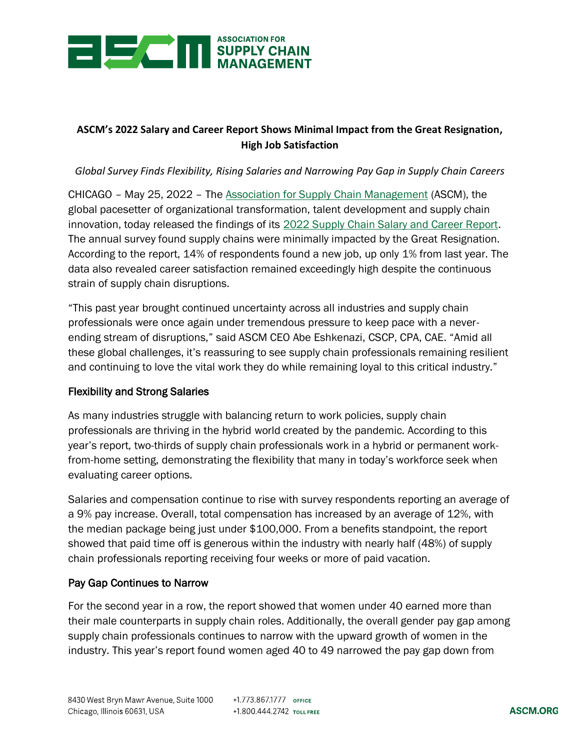

# **ASCM's 2022 Salary and Career Report Shows Minimal Impact from the Great Resignation, High Job Satisfaction**

### *Global Survey Finds Flexibility, Rising Salaries and Narrowing Pay Gap in Supply Chain Careers*

CHICAGO – May 25, 2022 – The [Association for Supply Chain Management](https://www.ascm.org/) (ASCM), the global pacesetter of organizational transformation, talent development and supply chain innovation, today released the findings of its [2022 Supply Chain Salary and Career Report.](https://ascm.org/salary-report) The annual survey found supply chains were minimally impacted by the Great Resignation. According to the report, 14% of respondents found a new job, up only 1% from last year. The data also revealed career satisfaction remained exceedingly high despite the continuous strain of supply chain disruptions.

"This past year brought continued uncertainty across all industries and supply chain professionals were once again under tremendous pressure to keep pace with a neverending stream of disruptions," said ASCM CEO Abe Eshkenazi, CSCP, CPA, CAE. "Amid all these global challenges, it's reassuring to see supply chain professionals remaining resilient and continuing to love the vital work they do while remaining loyal to this critical industry."

#### Flexibility and Strong Salaries

As many industries struggle with balancing return to work policies, supply chain professionals are thriving in the hybrid world created by the pandemic. According to this year's report, two-thirds of supply chain professionals work in a hybrid or permanent workfrom-home setting, demonstrating the flexibility that many in today's workforce seek when evaluating career options.

Salaries and compensation continue to rise with survey respondents reporting an average of a 9% pay increase. Overall, total compensation has increased by an average of 12%, with the median package being just under \$100,000. From a benefits standpoint, the report showed that paid time off is generous within the industry with nearly half (48%) of supply chain professionals reporting receiving four weeks or more of paid vacation.

#### Pay Gap Continues to Narrow

For the second year in a row, the report showed that women under 40 earned more than their male counterparts in supply chain roles. Additionally, the overall gender pay gap among supply chain professionals continues to narrow with the upward growth of women in the industry. This year's report found women aged 40 to 49 narrowed the pay gap down from